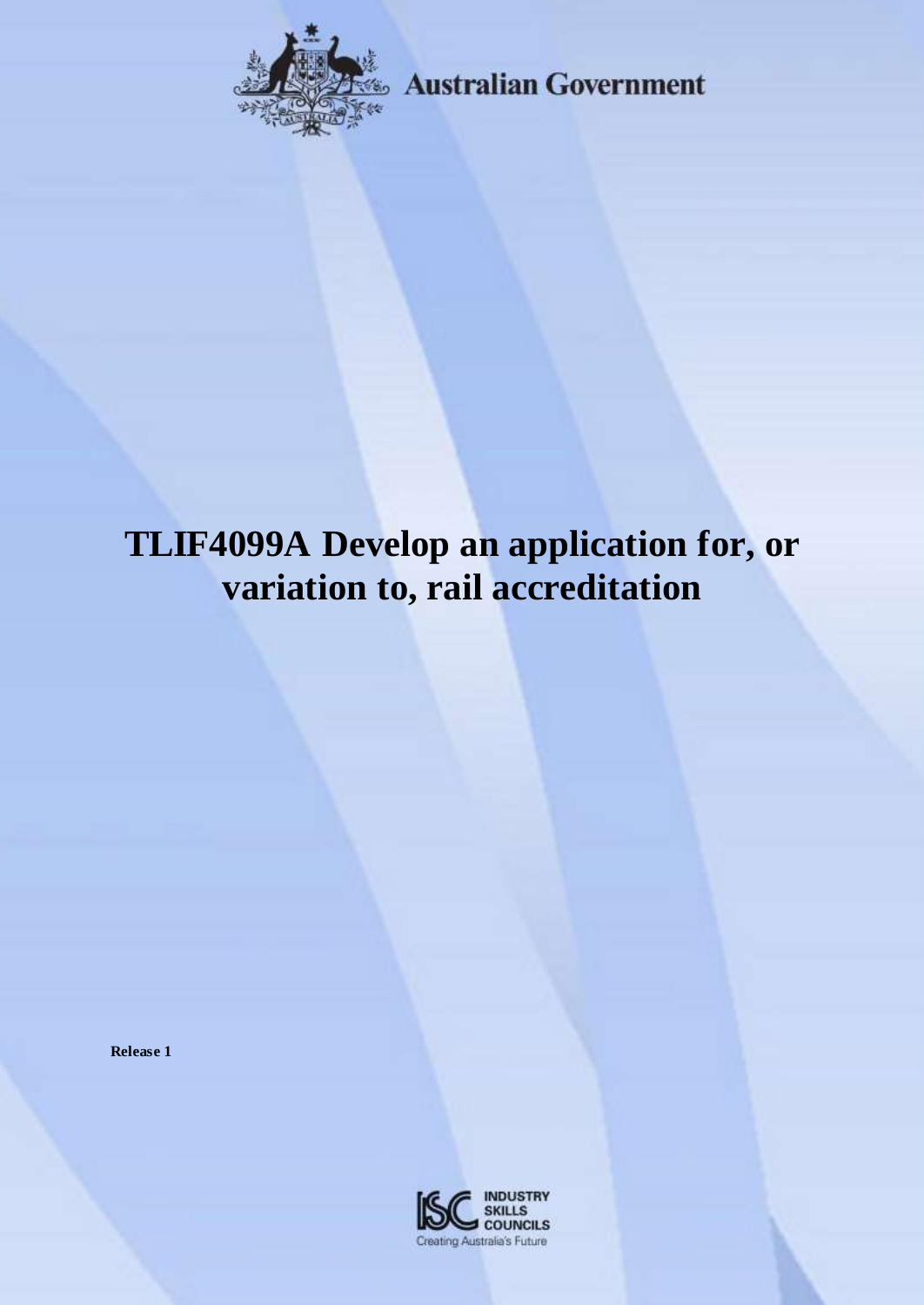

**Example 3 Australian Government** 

# **TLIF4099A Develop an application for, or variation to, rail accreditation**

**Release 1**

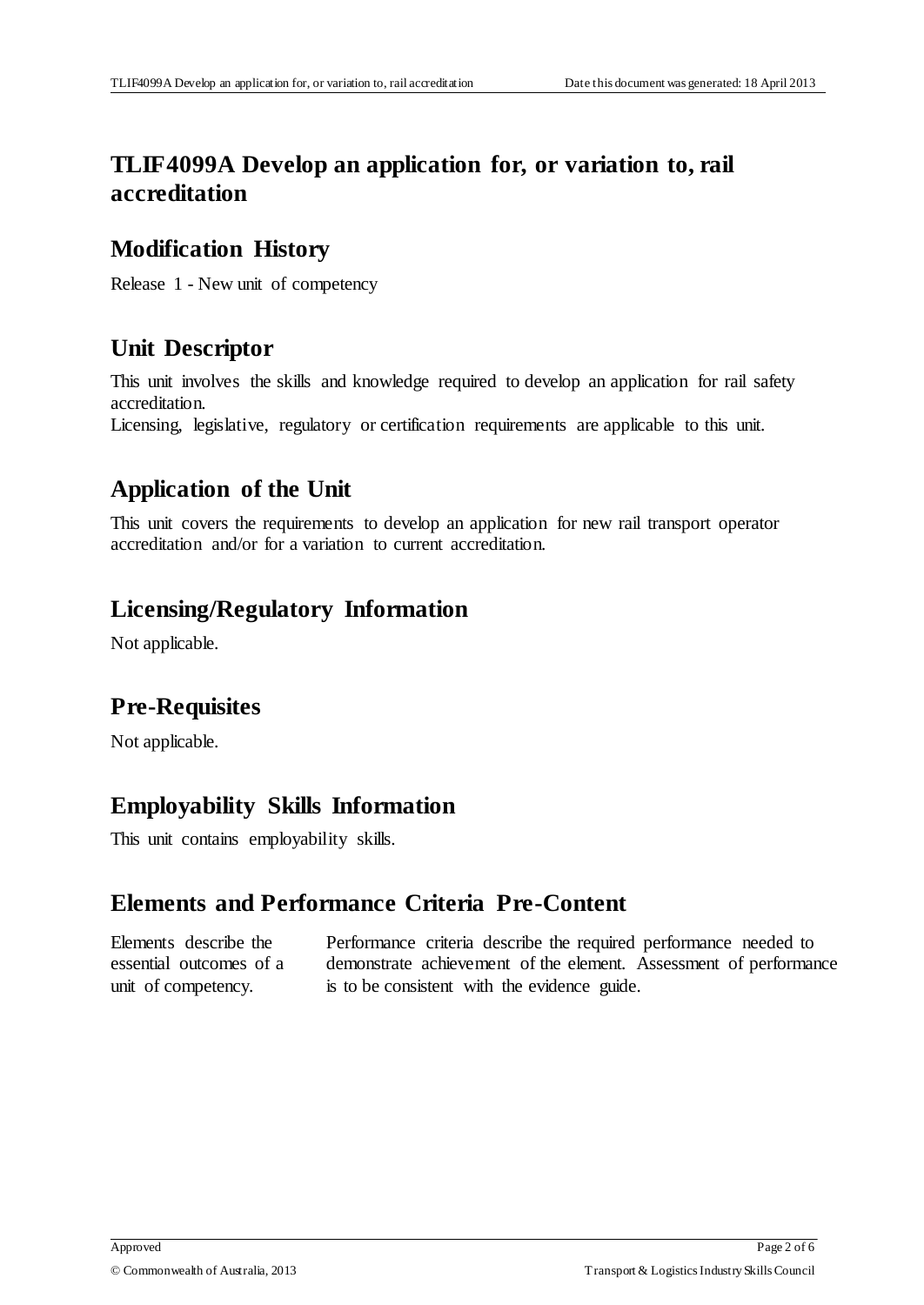# **TLIF4099A Develop an application for, or variation to, rail accreditation**

#### **Modification History**

Release 1 - New unit of competency

# **Unit Descriptor**

This unit involves the skills and knowledge required to develop an application for rail safety accreditation.

Licensing, legislative, regulatory or certification requirements are applicable to this unit.

# **Application of the Unit**

This unit covers the requirements to develop an application for new rail transport operator accreditation and/or for a variation to current accreditation.

#### **Licensing/Regulatory Information**

Not applicable.

## **Pre-Requisites**

Not applicable.

## **Employability Skills Information**

This unit contains employability skills.

## **Elements and Performance Criteria Pre-Content**

Elements describe the essential outcomes of a unit of competency.

Performance criteria describe the required performance needed to demonstrate achievement of the element. Assessment of performance is to be consistent with the evidence guide.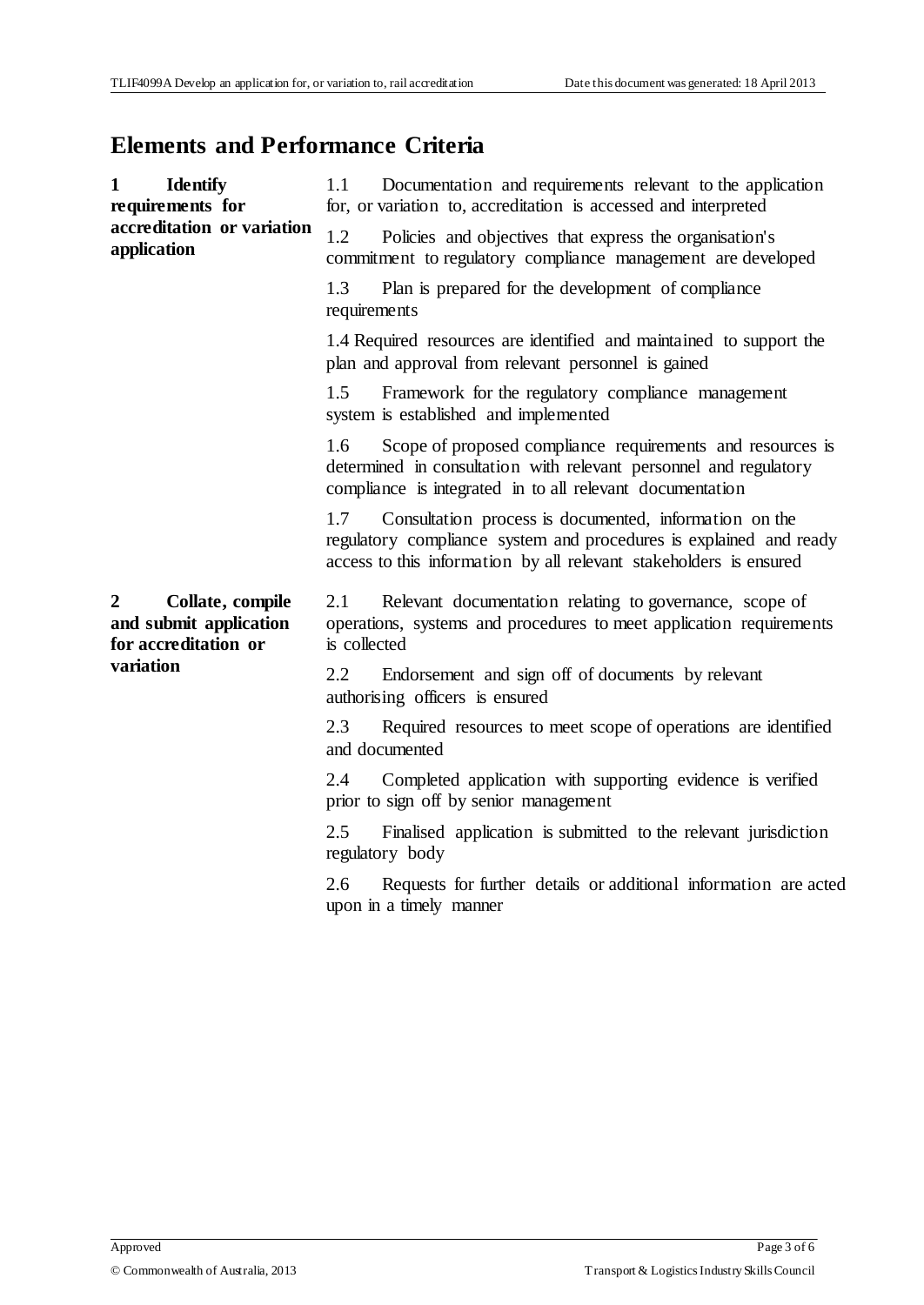## **Elements and Performance Criteria**

| $\mathbf{1}$<br><b>Identify</b><br>requirements for<br>accreditation or variation<br>application | Documentation and requirements relevant to the application<br>1.1<br>for, or variation to, accreditation is accessed and interpreted                                                                      |
|--------------------------------------------------------------------------------------------------|-----------------------------------------------------------------------------------------------------------------------------------------------------------------------------------------------------------|
|                                                                                                  | 1.2<br>Policies and objectives that express the organisation's<br>commitment to regulatory compliance management are developed                                                                            |
|                                                                                                  | Plan is prepared for the development of compliance<br>1.3<br>requirements                                                                                                                                 |
|                                                                                                  | 1.4 Required resources are identified and maintained to support the<br>plan and approval from relevant personnel is gained                                                                                |
|                                                                                                  | 1.5<br>Framework for the regulatory compliance management<br>system is established and implemented                                                                                                        |
|                                                                                                  | Scope of proposed compliance requirements and resources is<br>1.6<br>determined in consultation with relevant personnel and regulatory<br>compliance is integrated in to all relevant documentation       |
|                                                                                                  | Consultation process is documented, information on the<br>1.7<br>regulatory compliance system and procedures is explained and ready<br>access to this information by all relevant stakeholders is ensured |
| $\mathbf{2}$<br>Collate, compile<br>and submit application<br>for accreditation or<br>variation  | 2.1<br>Relevant documentation relating to governance, scope of<br>operations, systems and procedures to meet application requirements<br>is collected                                                     |
|                                                                                                  | Endorsement and sign off of documents by relevant<br>2.2<br>authorising officers is ensured                                                                                                               |
|                                                                                                  | 2.3<br>Required resources to meet scope of operations are identified<br>and documented                                                                                                                    |
|                                                                                                  | Completed application with supporting evidence is verified<br>2.4<br>prior to sign off by senior management                                                                                               |
|                                                                                                  | 2.5<br>Finalised application is submitted to the relevant jurisdiction<br>regulatory body                                                                                                                 |
|                                                                                                  | Requests for further details or additional information are acted<br>2.6<br>upon in a timely manner                                                                                                        |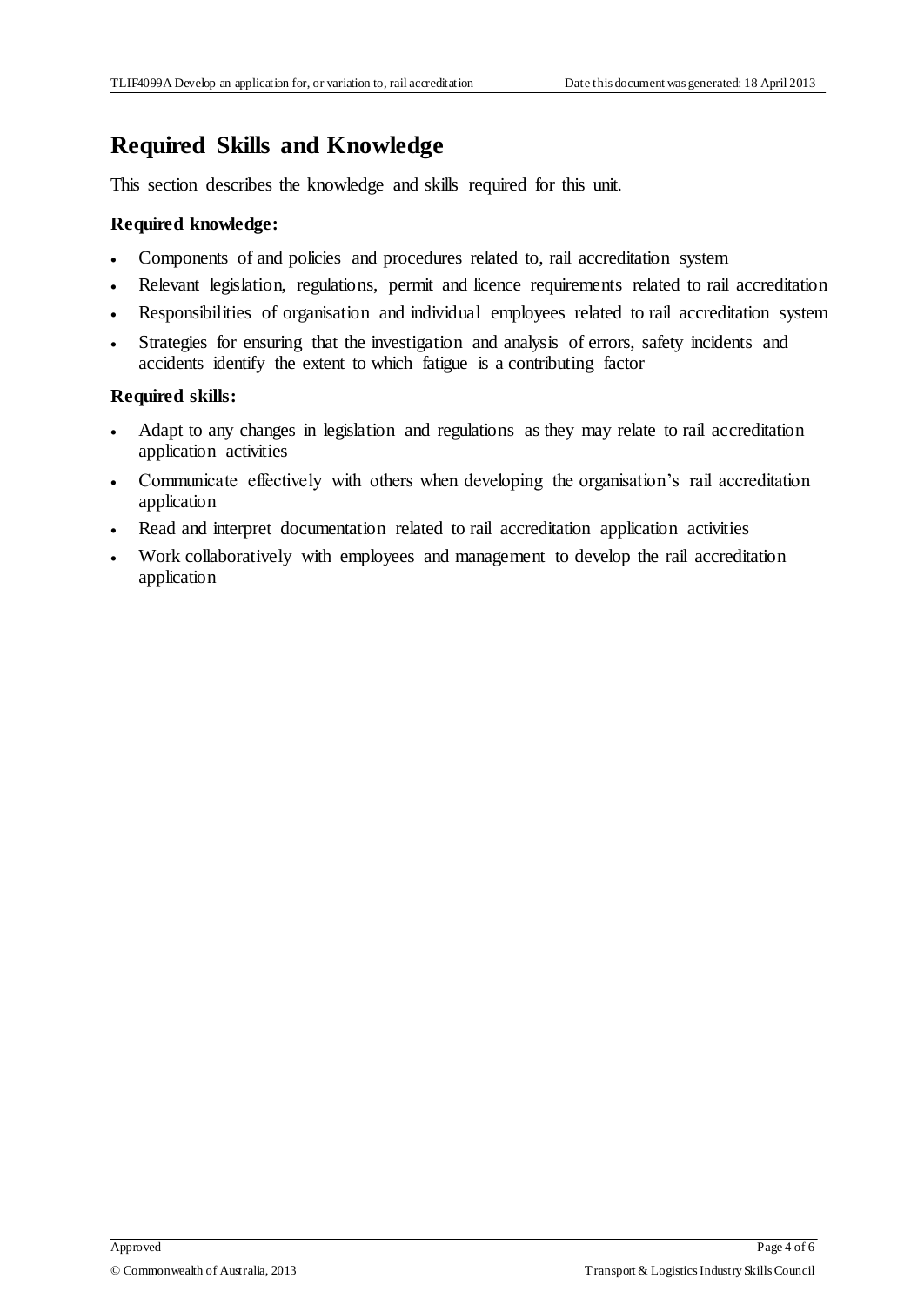## **Required Skills and Knowledge**

This section describes the knowledge and skills required for this unit.

#### **Required knowledge:**

- Components of and policies and procedures related to, rail accreditation system
- Relevant legislation, regulations, permit and licence requirements related to rail accreditation
- Responsibilities of organisation and individual employees related to rail accreditation system
- Strategies for ensuring that the investigation and analysis of errors, safety incidents and accidents identify the extent to which fatigue is a contributing factor

#### **Required skills:**

- Adapt to any changes in legislation and regulations as they may relate to rail accreditation application activities
- Communicate effectively with others when developing the organisation's rail accreditation application
- Read and interpret documentation related to rail accreditation application activities
- Work collaboratively with employees and management to develop the rail accreditation application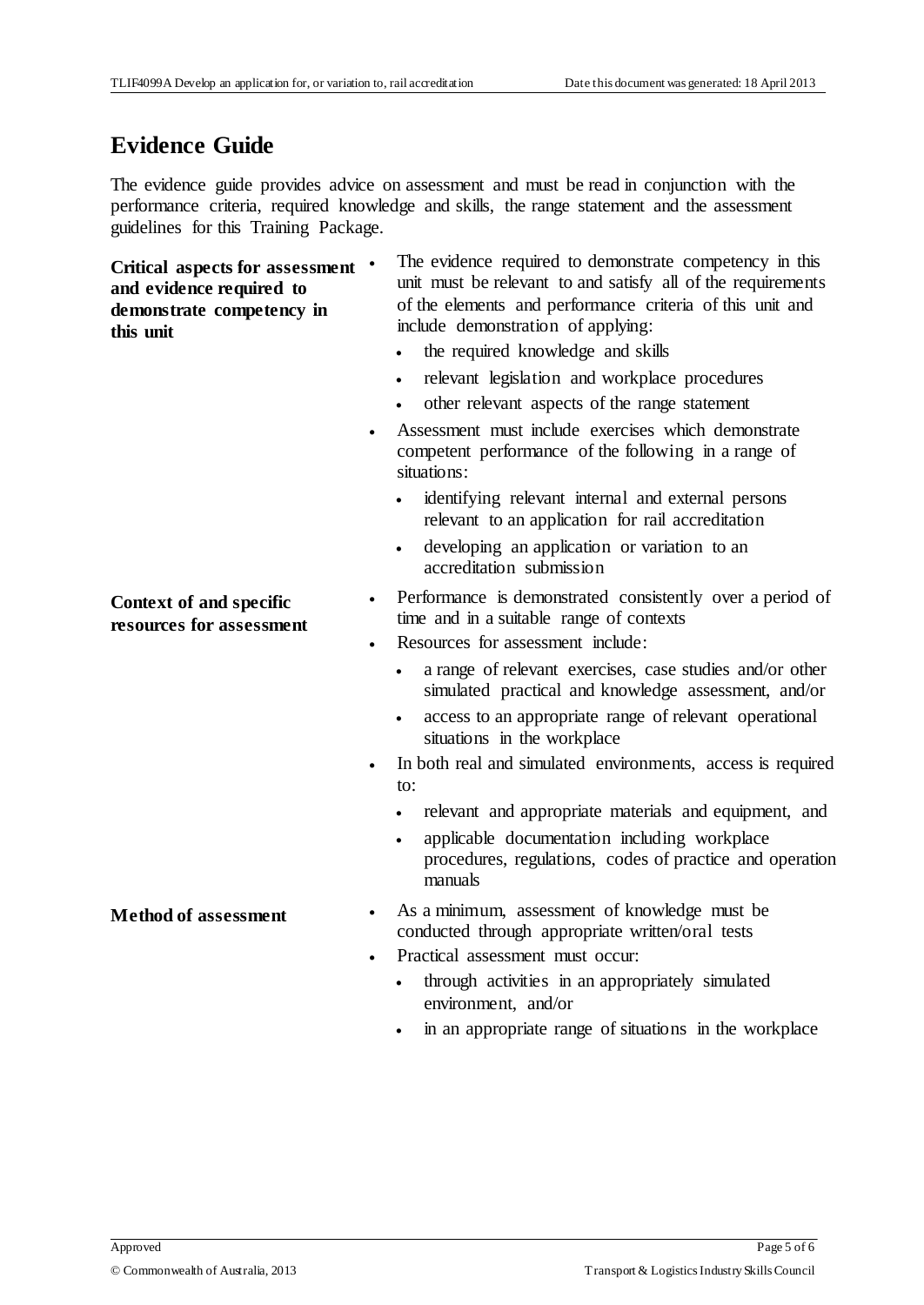#### **Evidence Guide**

The evidence guide provides advice on assessment and must be read in conjunction with the performance criteria, required knowledge and skills, the range statement and the assessment guidelines for this Training Package.

**Critical aspects for assessment and evidence required to demonstrate competency in this unit**

 The evidence required to demonstrate competency in this unit must be relevant to and satisfy all of the requirements of the elements and performance criteria of this unit and include demonstration of applying:

- the required knowledge and skills
- relevant legislation and workplace procedures
- other relevant aspects of the range statement
- Assessment must include exercises which demonstrate competent performance of the following in a range of situations:
	- identifying relevant internal and external persons relevant to an application for rail accreditation
	- developing an application or variation to an accreditation submission
- Performance is demonstrated consistently over a period of time and in a suitable range of contexts
- Resources for assessment include:
	- a range of relevant exercises, case studies and/or other simulated practical and knowledge assessment, and/or
	- access to an appropriate range of relevant operational situations in the workplace
- In both real and simulated environments, access is required to:
	- relevant and appropriate materials and equipment, and
	- applicable documentation including workplace procedures, regulations, codes of practice and operation manuals
- **Method of assessment** As a minimum, assessment of knowledge must be conducted through appropriate written/oral tests
	- Practical assessment must occur:
		- through activities in an appropriately simulated environment, and/or
		- in an appropriate range of situations in the workplace

**Context of and specific resources for assessment**